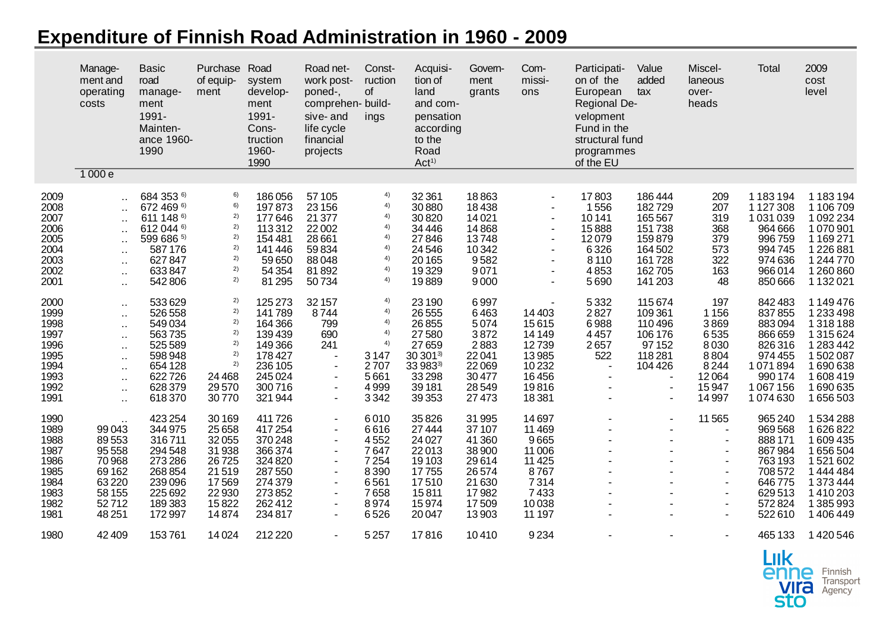## **Expenditure of Finnish Road Administration in 1960 - 2009**

|                                                                              | Manage-<br>ment and<br>operating<br>costs<br>1000e                                                           | <b>Basic</b><br>road<br>manage-<br>ment<br>1991-<br>Mainten-<br>ance 1960-<br>1990                      | Purchase<br>of equip-<br>ment                                                             | Road<br>system<br>develop-<br>ment<br>1991-<br>Cons-<br>truction<br>1960-<br>1990                     | Road net-<br>work post-<br>poned-,<br>comprehen- build-<br>sive-and<br>life cycle<br>financial<br>projects                                                                         | Const-<br>ruction<br>of<br>ings                                              | Acquisi-<br>tion of<br>land<br>and com-<br>pensation<br>according<br>to the<br>Road<br>Act <sup>1</sup> | Govem-<br>ment<br>grants                                                                     | Com-<br>missi-<br>ons                                                                    | Participati-<br>on of the<br>European<br>Regional De-<br>velopment<br>Fund in the<br>structural fund<br>programmes<br>of the EU | Value<br>added<br>tax                                                 | Miscel-<br>laneous<br>over-<br>heads                                                                                                                                                     | Total                                                                                                 | 2009<br>cost<br>level                                                                                        |
|------------------------------------------------------------------------------|--------------------------------------------------------------------------------------------------------------|---------------------------------------------------------------------------------------------------------|-------------------------------------------------------------------------------------------|-------------------------------------------------------------------------------------------------------|------------------------------------------------------------------------------------------------------------------------------------------------------------------------------------|------------------------------------------------------------------------------|---------------------------------------------------------------------------------------------------------|----------------------------------------------------------------------------------------------|------------------------------------------------------------------------------------------|---------------------------------------------------------------------------------------------------------------------------------|-----------------------------------------------------------------------|------------------------------------------------------------------------------------------------------------------------------------------------------------------------------------------|-------------------------------------------------------------------------------------------------------|--------------------------------------------------------------------------------------------------------------|
| 2009                                                                         | $\ddotsc$                                                                                                    | 684 353 6)                                                                                              | 6)                                                                                        | 186056                                                                                                | 57 105                                                                                                                                                                             | 4)                                                                           | 32 361                                                                                                  | 18863                                                                                        | $\sim$                                                                                   | 17803                                                                                                                           | 186444                                                                | 209                                                                                                                                                                                      | 1183194                                                                                               | 1 183 194                                                                                                    |
| 2008<br>2007<br>2006<br>2005                                                 | $\sim$<br>$\mathbf{r}$ .                                                                                     | 672 469 6)<br>611 148 6)<br>612 044 6)<br>599 686 5)                                                    | 6)<br>2)<br>2)<br>2)                                                                      | 197873<br>177646<br>113312<br>154 481                                                                 | 23 156<br>21 377<br>22 002<br>28 661                                                                                                                                               | 4)<br>4)<br>4)<br>4)                                                         | 30880<br>30820<br>34 4 46<br>27846                                                                      | 18438<br>14021<br>14868<br>13748                                                             | $\blacksquare$                                                                           | 1556<br>10141<br>15888<br>12079                                                                                                 | 182729<br>165567<br>151738<br>159879                                  | 207<br>319<br>368<br>379                                                                                                                                                                 | 1 1 2 7 3 0 8<br>1031039<br>964 666<br>996759                                                         | 1 106 709<br>1092234<br>1070901<br>1 1 6 9 2 7 1                                                             |
| 2004<br>2003<br>2002                                                         | $\sim$<br>$\sim$<br>$\sim$<br>$\sim$                                                                         | 587 176<br>627847<br>633847                                                                             | 2)<br>2)<br>2)                                                                            | 141 446<br>59 650<br>54 354                                                                           | 59834<br>88048<br>81892                                                                                                                                                            | 4)<br>4)<br>4)                                                               | 24546<br>20 16 5<br>19329                                                                               | 10342<br>9582<br>9071                                                                        | $\tilde{\phantom{a}}$                                                                    | 6326<br>8 1 1 0<br>4853                                                                                                         | 164 502<br>161728<br>162705                                           | 573<br>322<br>163                                                                                                                                                                        | 994745<br>974636<br>966014                                                                            | 1226881<br>1 244 770<br>1260860                                                                              |
| 2001                                                                         | $\sim$                                                                                                       | 542806                                                                                                  | 2)                                                                                        | 81 295                                                                                                | 50734                                                                                                                                                                              | 4)                                                                           | 19889                                                                                                   | 9000                                                                                         |                                                                                          | 5690                                                                                                                            | 141 203                                                               | 48                                                                                                                                                                                       | 850 666                                                                                               | 1 1 3 2 0 2 1                                                                                                |
| 2000<br>1999<br>1998<br>1997<br>1996<br>1995<br>1994                         | $\sim$<br>$\sim$<br>$\sim$<br>$\ddot{\phantom{1}}$<br>$\ddot{\phantom{1}}$<br>$\ddot{\phantom{a}}$<br>$\sim$ | 533629<br>526 558<br>549034<br>563735<br>525 589<br>598 948<br>654 128                                  | 2)<br>2)<br>2)<br>2)<br>2)<br>2)<br>2)                                                    | 125 273<br>141789<br>164 366<br>139439<br>149 366<br>178 427<br>236 105                               | 32 157<br>8744<br>799<br>690<br>241<br>$\sim$<br>$\sim$                                                                                                                            | 4)<br>4)<br>4)<br>4)<br>4)<br>3147<br>2707                                   | 23 190<br>26 5 5 5<br>26855<br>27580<br>27659<br>30 301 <sup>3</sup><br>33 983 <sup>3)</sup>            | 6997<br>6463<br>5074<br>3872<br>2883<br>22041<br>22069                                       | 14 4 03<br>15615<br>14 14 9<br>12739<br>13985<br>10232                                   | 5332<br>2827<br>6988<br>4457<br>2657<br>522<br>$\sim$                                                                           | 115674<br>109 361<br>110496<br>106 176<br>97 152<br>118281<br>104 426 | 197<br>1156<br>3869<br>6535<br>8030<br>8804<br>8244                                                                                                                                      | 842 483<br>837855<br>883094<br>866 659<br>826316<br>974 455<br>1071894                                | 1 149 476<br>1233498<br>1318188<br>1315624<br>1283442<br>1502087<br>1690638                                  |
| 1993<br>1992<br>1991                                                         | $\ddot{\phantom{1}}$<br>$\sim$<br>$\ddot{\phantom{a}}$                                                       | 622726<br>628379<br>618370                                                                              | 24 4 68<br>29570<br>30770                                                                 | 245 024<br>300716<br>321944                                                                           | $\blacksquare$<br>$\blacksquare$<br>$\blacksquare$                                                                                                                                 | 5661<br>4999<br>3342                                                         | 33 298<br>39 181<br>39 35 3                                                                             | 30477<br>28549<br>27 473                                                                     | 16456<br>19816<br>18381                                                                  |                                                                                                                                 | $\sim$<br>$\sim$                                                      | 12064<br>15947<br>14 9 97                                                                                                                                                                | 990 174<br>1 067 156<br>1074630                                                                       | 1608419<br>1690635<br>1656503                                                                                |
| 1990<br>1989<br>1988<br>1987<br>1986<br>1985<br>1984<br>1983<br>1982<br>1981 | 99043<br>89553<br>95 5 5 8<br>70968<br>69 162<br>63220<br>58 155<br>52712<br>48 251                          | 423 254<br>344 975<br>316711<br>294 548<br>273 286<br>268 854<br>239 096<br>225 692<br>189383<br>172997 | 30 169<br>25 6 58<br>32055<br>31938<br>26725<br>21519<br>17569<br>22930<br>15822<br>14874 | 411 726<br>417254<br>370 248<br>366374<br>324 820<br>287 550<br>274 379<br>273852<br>262412<br>234817 | $\blacksquare$<br>$\overline{\phantom{a}}$<br>$\blacksquare$<br>$\blacksquare$<br>$\blacksquare$<br>$\blacksquare$<br>$\blacksquare$<br>$\blacksquare$<br>$\blacksquare$<br>$\sim$ | 6010<br>6616<br>4552<br>7647<br>7254<br>8390<br>6561<br>7658<br>8974<br>6526 | 35826<br>27 444<br>24 0 27<br>22013<br>19 103<br>17755<br>17510<br>15811<br>15974<br>20 047             | 31 995<br>37 107<br>41 360<br>38 900<br>29614<br>26 574<br>21 630<br>17982<br>17509<br>13903 | 14697<br>11 4 69<br>9665<br>11 006<br>11 4 25<br>8767<br>7314<br>7433<br>10038<br>11 197 |                                                                                                                                 | $\blacksquare$                                                        | 11 565<br>$\overline{\phantom{a}}$<br>$\overline{\phantom{a}}$<br>$\sim$<br>$\overline{\phantom{a}}$<br>$\blacksquare$<br>$\sim$<br>$\blacksquare$<br>$\overline{\phantom{a}}$<br>$\sim$ | 965 240<br>969 568<br>888 171<br>867984<br>763 193<br>708 572<br>646775<br>629513<br>572824<br>522610 | 1534288<br>1626822<br>1609435<br>1656504<br>1521602<br>1444484<br>1373444<br>1410203<br>1385993<br>1 406 449 |
| 1980                                                                         | 42 409                                                                                                       | 153761                                                                                                  | 14024                                                                                     | 212 220                                                                                               | $\blacksquare$                                                                                                                                                                     | 5257                                                                         | 17816                                                                                                   | 10410                                                                                        | 9234                                                                                     |                                                                                                                                 |                                                                       |                                                                                                                                                                                          | 465 133                                                                                               | 1420546                                                                                                      |